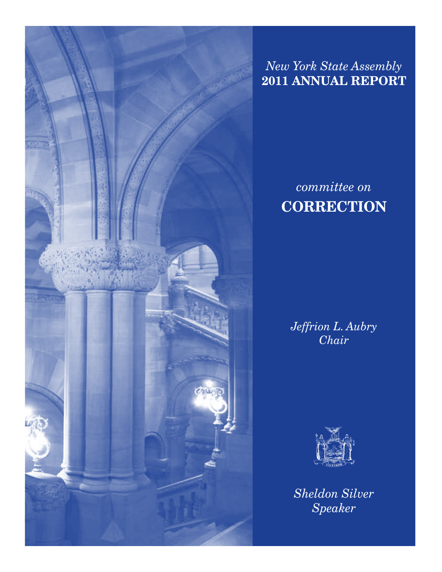

*New York State Assembly* **2011 Annual Report**

# *committee on* **CORRECTION**

*Jeffrion L. Aubry Chair*



*Sheldon Silver Speaker*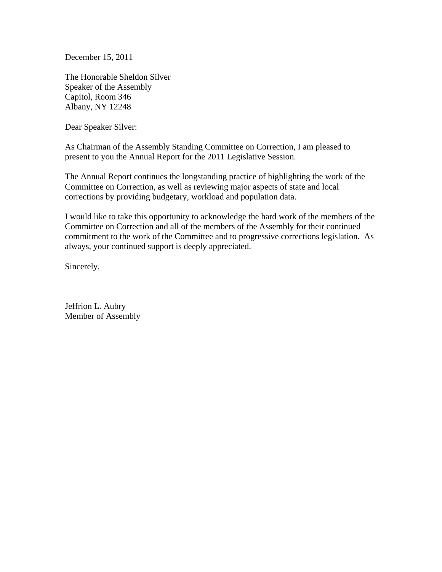December 15, 2011

The Honorable Sheldon Silver Speaker of the Assembly Capitol, Room 346 Albany, NY 12248

Dear Speaker Silver:

As Chairman of the Assembly Standing Committee on Correction, I am pleased to present to you the Annual Report for the 2011 Legislative Session.

The Annual Report continues the longstanding practice of highlighting the work of the Committee on Correction, as well as reviewing major aspects of state and local corrections by providing budgetary, workload and population data.

I would like to take this opportunity to acknowledge the hard work of the members of the Committee on Correction and all of the members of the Assembly for their continued commitment to the work of the Committee and to progressive corrections legislation. As always, your continued support is deeply appreciated.

Sincerely,

Jeffrion L. Aubry Member of Assembly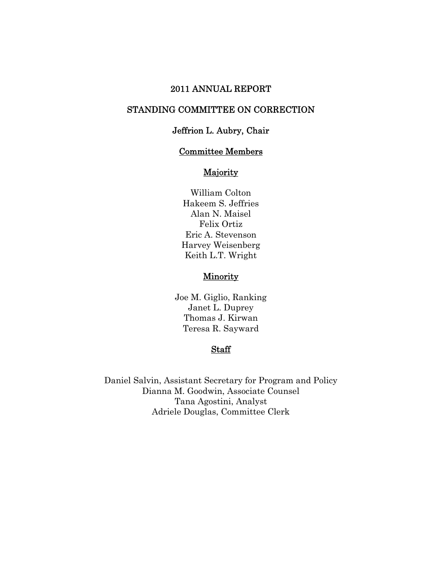#### 2011 ANNUAL REPORT

#### STANDING COMMITTEE ON CORRECTION

#### Jeffrion L. Aubry, Chair

#### Committee Members

#### **Majority**

William Colton Hakeem S. Jeffries Alan N. Maisel Felix Ortiz Eric A. Stevenson Harvey Weisenberg Keith L.T. Wright

#### **Minority**

Joe M. Giglio, Ranking Janet L. Duprey Thomas J. Kirwan Teresa R. Sayward

#### Staff

Daniel Salvin, Assistant Secretary for Program and Policy Dianna M. Goodwin, Associate Counsel Tana Agostini, Analyst Adriele Douglas, Committee Clerk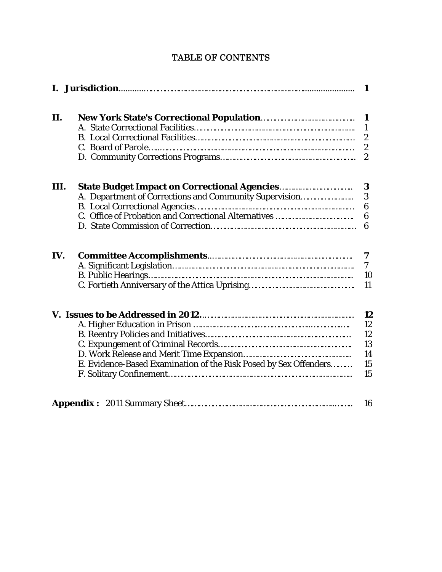| 1    |                                                                  |                       |
|------|------------------------------------------------------------------|-----------------------|
| II.  |                                                                  | 1                     |
|      |                                                                  | $\mathbf{1}$          |
|      |                                                                  | $\boldsymbol{2}$      |
|      |                                                                  | $\boldsymbol{2}$      |
|      |                                                                  | $\boldsymbol{2}$      |
| III. | <b>State Budget Impact on Correctional Agencies</b>              | 3                     |
|      | A. Department of Corrections and Community Supervision           | 3                     |
|      |                                                                  | 6                     |
|      |                                                                  | 6                     |
|      |                                                                  | 6                     |
| IV.  |                                                                  | 7<br>$\boldsymbol{7}$ |
|      |                                                                  | 10                    |
|      |                                                                  | 11                    |
|      |                                                                  | 12                    |
|      |                                                                  | 12                    |
|      |                                                                  | 12                    |
|      |                                                                  | 13                    |
|      |                                                                  | 14                    |
|      | E. Evidence-Based Examination of the Risk Posed by Sex Offenders | 15                    |
|      |                                                                  | 15                    |
|      |                                                                  | 16                    |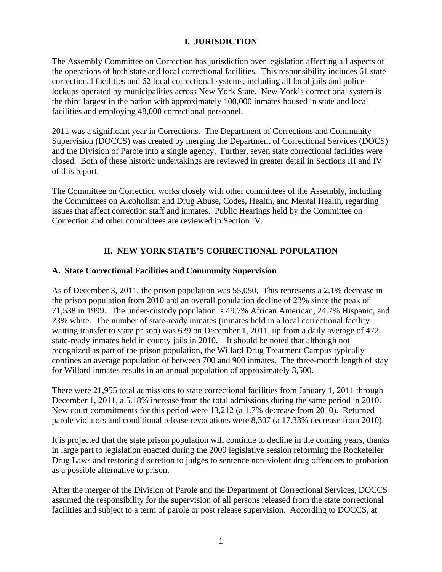#### **I. JURISDICTION**

The Assembly Committee on Correction has jurisdiction over legislation affecting all aspects of the operations of both state and local correctional facilities. This responsibility includes 61 state correctional facilities and 62 local correctional systems, including all local jails and police lockups operated by municipalities across New York State. New York's correctional system is the third largest in the nation with approximately 100,000 inmates housed in state and local facilities and employing 48,000 correctional personnel.

2011 was a significant year in Corrections. The Department of Corrections and Community Supervision (DOCCS) was created by merging the Department of Correctional Services (DOCS) and the Division of Parole into a single agency. Further, seven state correctional facilities were closed. Both of these historic undertakings are reviewed in greater detail in Sections III and IV of this report.

The Committee on Correction works closely with other committees of the Assembly, including the Committees on Alcoholism and Drug Abuse, Codes, Health, and Mental Health, regarding issues that affect correction staff and inmates. Public Hearings held by the Committee on Correction and other committees are reviewed in Section IV.

# **II. NEW YORK STATE'S CORRECTIONAL POPULATION**

#### **A. State Correctional Facilities and Community Supervision**

As of December 3, 2011, the prison population was 55,050. This represents a 2.1% decrease in the prison population from 2010 and an overall population decline of 23% since the peak of 71,538 in 1999. The under-custody population is 49.7% African American, 24.7% Hispanic, and 23% white. The number of state-ready inmates (inmates held in a local correctional facility waiting transfer to state prison) was 639 on December 1, 2011, up from a daily average of 472 state-ready inmates held in county jails in 2010. It should be noted that although not recognized as part of the prison population, the Willard Drug Treatment Campus typically confines an average population of between 700 and 900 inmates. The three-month length of stay for Willard inmates results in an annual population of approximately 3,500.

There were 21,955 total admissions to state correctional facilities from January 1, 2011 through December 1, 2011, a 5.18% increase from the total admissions during the same period in 2010. New court commitments for this period were 13,212 (a 1.7% decrease from 2010). Returned parole violators and conditional release revocations were 8,307 (a 17.33% decrease from 2010).

It is projected that the state prison population will continue to decline in the coming years, thanks in large part to legislation enacted during the 2009 legislative session reforming the Rockefeller Drug Laws and restoring discretion to judges to sentence non-violent drug offenders to probation as a possible alternative to prison.

After the merger of the Division of Parole and the Department of Correctional Services, DOCCS assumed the responsibility for the supervision of all persons released from the state correctional facilities and subject to a term of parole or post release supervision. According to DOCCS, at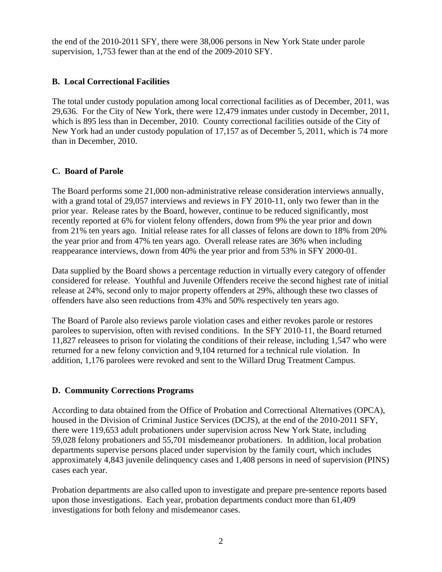the end of the 2010-2011 SFY, there were 38,006 persons in New York State under parole supervision, 1,753 fewer than at the end of the 2009-2010 SFY.

#### **B. Local Correctional Facilities**

The total under custody population among local correctional facilities as of December, 2011, was 29,636. For the City of New York, there were 12,479 inmates under custody in December, 2011, which is 895 less than in December, 2010. County correctional facilities outside of the City of New York had an under custody population of 17,157 as of December 5, 2011, which is 74 more than in December, 2010.

## **C. Board of Parole**

The Board performs some 21,000 non-administrative release consideration interviews annually, with a grand total of 29,057 interviews and reviews in FY 2010-11, only two fewer than in the prior year. Release rates by the Board, however, continue to be reduced significantly, most recently reported at 6% for violent felony offenders, down from 9% the year prior and down from 21% ten years ago. Initial release rates for all classes of felons are down to 18% from 20% the year prior and from 47% ten years ago. Overall release rates are 36% when including reappearance interviews, down from 40% the year prior and from 53% in SFY 2000-01.

Data supplied by the Board shows a percentage reduction in virtually every category of offender considered for release. Youthful and Juvenile Offenders receive the second highest rate of initial release at 24%, second only to major property offenders at 29%, although these two classes of offenders have also seen reductions from 43% and 50% respectively ten years ago.

The Board of Parole also reviews parole violation cases and either revokes parole or restores parolees to supervision, often with revised conditions. In the SFY 2010-11, the Board returned 11,827 releasees to prison for violating the conditions of their release, including 1,547 who were returned for a new felony conviction and 9,104 returned for a technical rule violation. In addition, 1,176 parolees were revoked and sent to the Willard Drug Treatment Campus.

# **D. Community Corrections Programs**

According to data obtained from the Office of Probation and Correctional Alternatives (OPCA), housed in the Division of Criminal Justice Services (DCJS), at the end of the 2010-2011 SFY, there were 119,653 adult probationers under supervision across New York State, including 59,028 felony probationers and 55,701 misdemeanor probationers. In addition, local probation departments supervise persons placed under supervision by the family court, which includes approximately 4,843 juvenile delinquency cases and 1,408 persons in need of supervision (PINS) cases each year.

Probation departments are also called upon to investigate and prepare pre-sentence reports based upon those investigations. Each year, probation departments conduct more than 61,409 investigations for both felony and misdemeanor cases.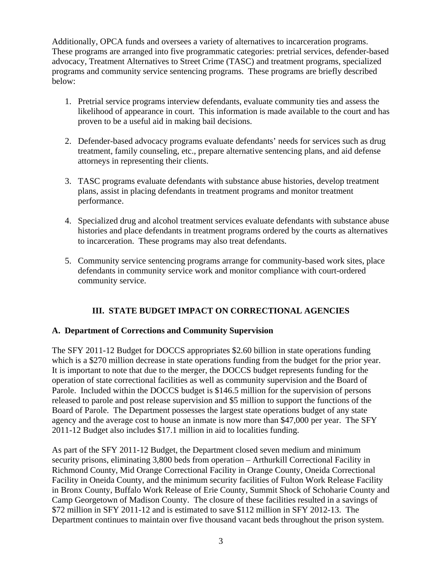Additionally, OPCA funds and oversees a variety of alternatives to incarceration programs. These programs are arranged into five programmatic categories: pretrial services, defender-based advocacy, Treatment Alternatives to Street Crime (TASC) and treatment programs, specialized programs and community service sentencing programs. These programs are briefly described below:

- 1. Pretrial service programs interview defendants, evaluate community ties and assess the likelihood of appearance in court. This information is made available to the court and has proven to be a useful aid in making bail decisions.
- 2. Defender-based advocacy programs evaluate defendants' needs for services such as drug treatment, family counseling, etc., prepare alternative sentencing plans, and aid defense attorneys in representing their clients.
- 3. TASC programs evaluate defendants with substance abuse histories, develop treatment plans, assist in placing defendants in treatment programs and monitor treatment performance.
- 4. Specialized drug and alcohol treatment services evaluate defendants with substance abuse histories and place defendants in treatment programs ordered by the courts as alternatives to incarceration. These programs may also treat defendants.
- 5. Community service sentencing programs arrange for community-based work sites, place defendants in community service work and monitor compliance with court-ordered community service.

# **III. STATE BUDGET IMPACT ON CORRECTIONAL AGENCIES**

#### **A. Department of Corrections and Community Supervision**

The SFY 2011-12 Budget for DOCCS appropriates \$2.60 billion in state operations funding which is a \$270 million decrease in state operations funding from the budget for the prior year. It is important to note that due to the merger, the DOCCS budget represents funding for the operation of state correctional facilities as well as community supervision and the Board of Parole. Included within the DOCCS budget is \$146.5 million for the supervision of persons released to parole and post release supervision and \$5 million to support the functions of the Board of Parole. The Department possesses the largest state operations budget of any state agency and the average cost to house an inmate is now more than \$47,000 per year. The SFY 2011-12 Budget also includes \$17.1 million in aid to localities funding.

As part of the SFY 2011-12 Budget, the Department closed seven medium and minimum security prisons, eliminating 3,800 beds from operation – Arthurkill Correctional Facility in Richmond County, Mid Orange Correctional Facility in Orange County, Oneida Correctional Facility in Oneida County, and the minimum security facilities of Fulton Work Release Facility in Bronx County, Buffalo Work Release of Erie County, Summit Shock of Schoharie County and Camp Georgetown of Madison County. The closure of these facilities resulted in a savings of \$72 million in SFY 2011-12 and is estimated to save \$112 million in SFY 2012-13. The Department continues to maintain over five thousand vacant beds throughout the prison system.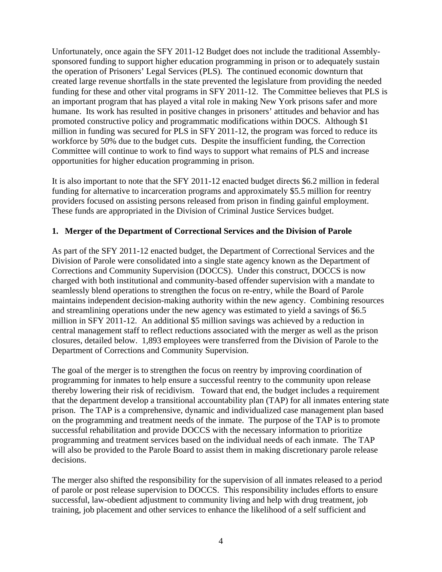Unfortunately, once again the SFY 2011-12 Budget does not include the traditional Assemblysponsored funding to support higher education programming in prison or to adequately sustain the operation of Prisoners' Legal Services (PLS). The continued economic downturn that created large revenue shortfalls in the state prevented the legislature from providing the needed funding for these and other vital programs in SFY 2011-12. The Committee believes that PLS is an important program that has played a vital role in making New York prisons safer and more humane. Its work has resulted in positive changes in prisoners' attitudes and behavior and has promoted constructive policy and programmatic modifications within DOCS. Although \$1 million in funding was secured for PLS in SFY 2011-12, the program was forced to reduce its workforce by 50% due to the budget cuts. Despite the insufficient funding, the Correction Committee will continue to work to find ways to support what remains of PLS and increase opportunities for higher education programming in prison.

It is also important to note that the SFY 2011-12 enacted budget directs \$6.2 million in federal funding for alternative to incarceration programs and approximately \$5.5 million for reentry providers focused on assisting persons released from prison in finding gainful employment. These funds are appropriated in the Division of Criminal Justice Services budget.

#### **1. Merger of the Department of Correctional Services and the Division of Parole**

As part of the SFY 2011-12 enacted budget, the Department of Correctional Services and the Division of Parole were consolidated into a single state agency known as the Department of Corrections and Community Supervision (DOCCS). Under this construct, DOCCS is now charged with both institutional and community-based offender supervision with a mandate to seamlessly blend operations to strengthen the focus on re-entry, while the Board of Parole maintains independent decision-making authority within the new agency. Combining resources and streamlining operations under the new agency was estimated to yield a savings of \$6.5 million in SFY 2011-12. An additional \$5 million savings was achieved by a reduction in central management staff to reflect reductions associated with the merger as well as the prison closures, detailed below. 1,893 employees were transferred from the Division of Parole to the Department of Corrections and Community Supervision.

The goal of the merger is to strengthen the focus on reentry by improving coordination of programming for inmates to help ensure a successful reentry to the community upon release thereby lowering their risk of recidivism. Toward that end, the budget includes a requirement that the department develop a transitional accountability plan (TAP) for all inmates entering state prison. The TAP is a comprehensive, dynamic and individualized case management plan based on the programming and treatment needs of the inmate. The purpose of the TAP is to promote successful rehabilitation and provide DOCCS with the necessary information to prioritize programming and treatment services based on the individual needs of each inmate. The TAP will also be provided to the Parole Board to assist them in making discretionary parole release decisions.

The merger also shifted the responsibility for the supervision of all inmates released to a period of parole or post release supervision to DOCCS. This responsibility includes efforts to ensure successful, law-obedient adjustment to community living and help with drug treatment, job training, job placement and other services to enhance the likelihood of a self sufficient and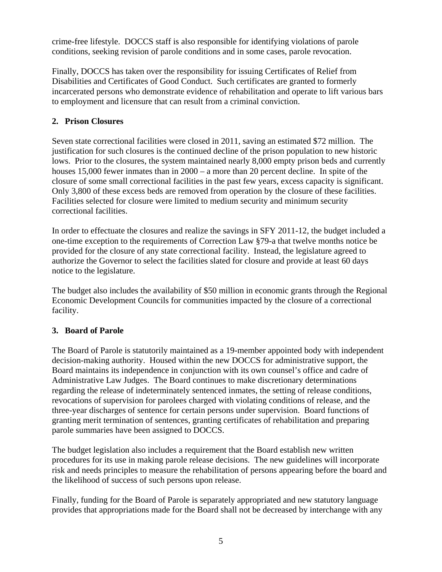crime-free lifestyle. DOCCS staff is also responsible for identifying violations of parole conditions, seeking revision of parole conditions and in some cases, parole revocation.

Finally, DOCCS has taken over the responsibility for issuing Certificates of Relief from Disabilities and Certificates of Good Conduct. Such certificates are granted to formerly incarcerated persons who demonstrate evidence of rehabilitation and operate to lift various bars to employment and licensure that can result from a criminal conviction.

## **2. Prison Closures**

Seven state correctional facilities were closed in 2011, saving an estimated \$72 million. The justification for such closures is the continued decline of the prison population to new historic lows. Prior to the closures, the system maintained nearly 8,000 empty prison beds and currently houses 15,000 fewer inmates than in 2000 – a more than 20 percent decline. In spite of the closure of some small correctional facilities in the past few years, excess capacity is significant. Only 3,800 of these excess beds are removed from operation by the closure of these facilities. Facilities selected for closure were limited to medium security and minimum security correctional facilities.

In order to effectuate the closures and realize the savings in SFY 2011-12, the budget included a one-time exception to the requirements of Correction Law §79-a that twelve months notice be provided for the closure of any state correctional facility. Instead, the legislature agreed to authorize the Governor to select the facilities slated for closure and provide at least 60 days notice to the legislature.

The budget also includes the availability of \$50 million in economic grants through the Regional Economic Development Councils for communities impacted by the closure of a correctional facility.

#### **3. Board of Parole**

The Board of Parole is statutorily maintained as a 19-member appointed body with independent decision-making authority. Housed within the new DOCCS for administrative support, the Board maintains its independence in conjunction with its own counsel's office and cadre of Administrative Law Judges. The Board continues to make discretionary determinations regarding the release of indeterminately sentenced inmates, the setting of release conditions, revocations of supervision for parolees charged with violating conditions of release, and the three-year discharges of sentence for certain persons under supervision. Board functions of granting merit termination of sentences, granting certificates of rehabilitation and preparing parole summaries have been assigned to DOCCS.

The budget legislation also includes a requirement that the Board establish new written procedures for its use in making parole release decisions. The new guidelines will incorporate risk and needs principles to measure the rehabilitation of persons appearing before the board and the likelihood of success of such persons upon release.

Finally, funding for the Board of Parole is separately appropriated and new statutory language provides that appropriations made for the Board shall not be decreased by interchange with any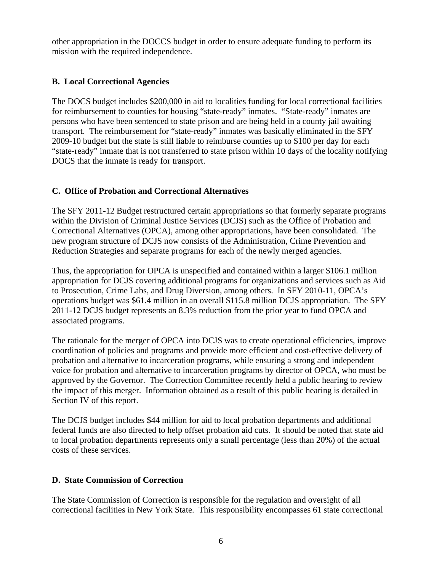other appropriation in the DOCCS budget in order to ensure adequate funding to perform its mission with the required independence.

#### **B. Local Correctional Agencies**

The DOCS budget includes \$200,000 in aid to localities funding for local correctional facilities for reimbursement to counties for housing "state-ready" inmates. "State-ready" inmates are persons who have been sentenced to state prison and are being held in a county jail awaiting transport. The reimbursement for "state-ready" inmates was basically eliminated in the SFY 2009-10 budget but the state is still liable to reimburse counties up to \$100 per day for each "state-ready" inmate that is not transferred to state prison within 10 days of the locality notifying DOCS that the inmate is ready for transport.

## **C. Office of Probation and Correctional Alternatives**

The SFY 2011-12 Budget restructured certain appropriations so that formerly separate programs within the Division of Criminal Justice Services (DCJS) such as the Office of Probation and Correctional Alternatives (OPCA), among other appropriations, have been consolidated. The new program structure of DCJS now consists of the Administration, Crime Prevention and Reduction Strategies and separate programs for each of the newly merged agencies.

Thus, the appropriation for OPCA is unspecified and contained within a larger \$106.1 million appropriation for DCJS covering additional programs for organizations and services such as Aid to Prosecution, Crime Labs, and Drug Diversion, among others. In SFY 2010-11, OPCA's operations budget was \$61.4 million in an overall \$115.8 million DCJS appropriation. The SFY 2011-12 DCJS budget represents an 8.3% reduction from the prior year to fund OPCA and associated programs.

The rationale for the merger of OPCA into DCJS was to create operational efficiencies, improve coordination of policies and programs and provide more efficient and cost-effective delivery of probation and alternative to incarceration programs, while ensuring a strong and independent voice for probation and alternative to incarceration programs by director of OPCA, who must be approved by the Governor. The Correction Committee recently held a public hearing to review the impact of this merger. Information obtained as a result of this public hearing is detailed in Section IV of this report.

The DCJS budget includes \$44 million for aid to local probation departments and additional federal funds are also directed to help offset probation aid cuts. It should be noted that state aid to local probation departments represents only a small percentage (less than 20%) of the actual costs of these services.

# **D. State Commission of Correction**

The State Commission of Correction is responsible for the regulation and oversight of all correctional facilities in New York State. This responsibility encompasses 61 state correctional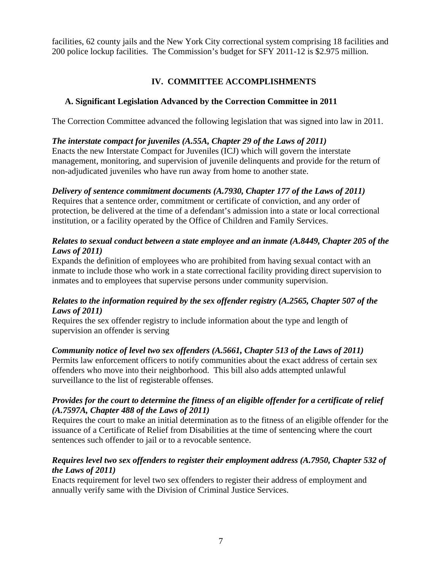facilities, 62 county jails and the New York City correctional system comprising 18 facilities and 200 police lockup facilities. The Commission's budget for SFY 2011-12 is \$2.975 million.

# **IV. COMMITTEE ACCOMPLISHMENTS**

# **A. Significant Legislation Advanced by the Correction Committee in 2011**

The Correction Committee advanced the following legislation that was signed into law in 2011.

# *The interstate compact for juveniles (A.55A, Chapter 29 of the Laws of 2011)*

Enacts the new Interstate Compact for Juveniles (ICJ) which will govern the interstate management, monitoring, and supervision of juvenile delinquents and provide for the return of non-adjudicated juveniles who have run away from home to another state.

# *Delivery of sentence commitment documents (A.7930, Chapter 177 of the Laws of 2011)*

Requires that a sentence order, commitment or certificate of conviction, and any order of protection, be delivered at the time of a defendant's admission into a state or local correctional institution, or a facility operated by the Office of Children and Family Services.

#### *Relates to sexual conduct between a state employee and an inmate (A.8449, Chapter 205 of the Laws of 2011)*

Expands the definition of employees who are prohibited from having sexual contact with an inmate to include those who work in a state correctional facility providing direct supervision to inmates and to employees that supervise persons under community supervision.

# *Relates to the information required by the sex offender registry (A.2565, Chapter 507 of the Laws of 2011)*

Requires the sex offender registry to include information about the type and length of supervision an offender is serving

# *Community notice of level two sex offenders (A.5661, Chapter 513 of the Laws of 2011)*

Permits law enforcement officers to notify communities about the exact address of certain sex offenders who move into their neighborhood. This bill also adds attempted unlawful surveillance to the list of registerable offenses.

## *Provides for the court to determine the fitness of an eligible offender for a certificate of relief (A.7597A, Chapter 488 of the Laws of 2011)*

Requires the court to make an initial determination as to the fitness of an eligible offender for the issuance of a Certificate of Relief from Disabilities at the time of sentencing where the court sentences such offender to jail or to a revocable sentence.

## *Requires level two sex offenders to register their employment address (A.7950, Chapter 532 of the Laws of 2011)*

Enacts requirement for level two sex offenders to register their address of employment and annually verify same with the Division of Criminal Justice Services.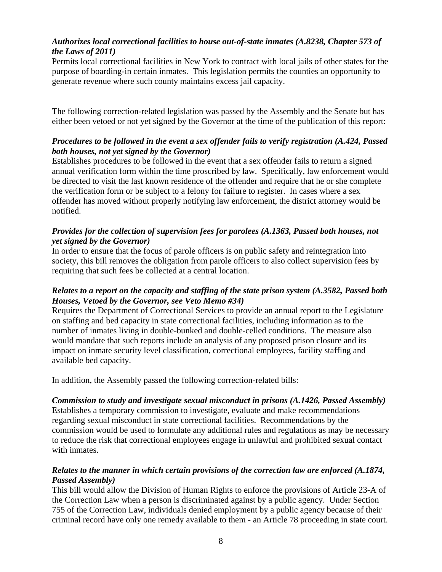# *Authorizes local correctional facilities to house out-of-state inmates (A.8238, Chapter 573 of the Laws of 2011)*

Permits local correctional facilities in New York to contract with local jails of other states for the purpose of boarding-in certain inmates. This legislation permits the counties an opportunity to generate revenue where such county maintains excess jail capacity.

The following correction-related legislation was passed by the Assembly and the Senate but has either been vetoed or not yet signed by the Governor at the time of the publication of this report:

## *Procedures to be followed in the event a sex offender fails to verify registration (A.424, Passed both houses, not yet signed by the Governor)*

Establishes procedures to be followed in the event that a sex offender fails to return a signed annual verification form within the time proscribed by law. Specifically, law enforcement would be directed to visit the last known residence of the offender and require that he or she complete the verification form or be subject to a felony for failure to register. In cases where a sex offender has moved without properly notifying law enforcement, the district attorney would be notified.

#### *Provides for the collection of supervision fees for parolees (A.1363, Passed both houses, not yet signed by the Governor)*

In order to ensure that the focus of parole officers is on public safety and reintegration into society, this bill removes the obligation from parole officers to also collect supervision fees by requiring that such fees be collected at a central location.

#### *Relates to a report on the capacity and staffing of the state prison system (A.3582, Passed both Houses, Vetoed by the Governor, see Veto Memo #34)*

Requires the Department of Correctional Services to provide an annual report to the Legislature on staffing and bed capacity in state correctional facilities, including information as to the number of inmates living in double-bunked and double-celled conditions. The measure also would mandate that such reports include an analysis of any proposed prison closure and its impact on inmate security level classification, correctional employees, facility staffing and available bed capacity.

In addition, the Assembly passed the following correction-related bills:

#### *Commission to study and investigate sexual misconduct in prisons (A.1426, Passed Assembly)*

Establishes a temporary commission to investigate, evaluate and make recommendations regarding sexual misconduct in state correctional facilities. Recommendations by the commission would be used to formulate any additional rules and regulations as may be necessary to reduce the risk that correctional employees engage in unlawful and prohibited sexual contact with inmates.

#### *Relates to the manner in which certain provisions of the correction law are enforced (A.1874, Passed Assembly)*

This bill would allow the Division of Human Rights to enforce the provisions of Article 23-A of the Correction Law when a person is discriminated against by a public agency. Under Section 755 of the Correction Law, individuals denied employment by a public agency because of their criminal record have only one remedy available to them - an Article 78 proceeding in state court.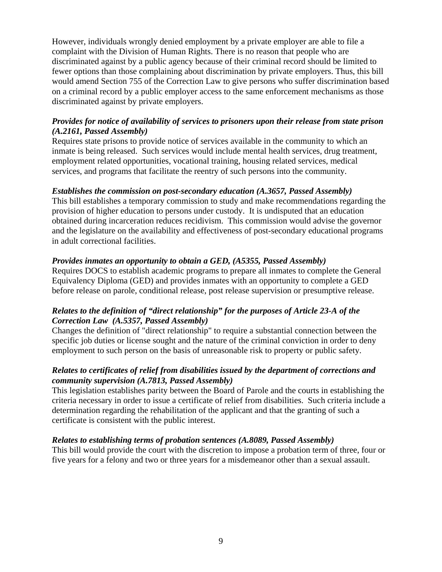However, individuals wrongly denied employment by a private employer are able to file a complaint with the Division of Human Rights. There is no reason that people who are discriminated against by a public agency because of their criminal record should be limited to fewer options than those complaining about discrimination by private employers. Thus, this bill would amend Section 755 of the Correction Law to give persons who suffer discrimination based on a criminal record by a public employer access to the same enforcement mechanisms as those discriminated against by private employers.

## *Provides for notice of availability of services to prisoners upon their release from state prison (A.2161, Passed Assembly)*

Requires state prisons to provide notice of services available in the community to which an inmate is being released. Such services would include mental health services, drug treatment, employment related opportunities, vocational training, housing related services, medical services, and programs that facilitate the reentry of such persons into the community.

#### *Establishes the commission on post-secondary education (A.3657, Passed Assembly)*

This bill establishes a temporary commission to study and make recommendations regarding the provision of higher education to persons under custody. It is undisputed that an education obtained during incarceration reduces recidivism. This commission would advise the governor and the legislature on the availability and effectiveness of post-secondary educational programs in adult correctional facilities.

#### *Provides inmates an opportunity to obtain a GED, (A5355, Passed Assembly)*

Requires DOCS to establish academic programs to prepare all inmates to complete the General Equivalency Diploma (GED) and provides inmates with an opportunity to complete a GED before release on parole, conditional release, post release supervision or presumptive release.

#### *Relates to the definition of "direct relationship" for the purposes of Article 23-A of the Correction Law (A.5357, Passed Assembly)*

Changes the definition of "direct relationship" to require a substantial connection between the specific job duties or license sought and the nature of the criminal conviction in order to deny employment to such person on the basis of unreasonable risk to property or public safety.

## *Relates to certificates of relief from disabilities issued by the department of corrections and community supervision (A.7813, Passed Assembly)*

This legislation establishes parity between the Board of Parole and the courts in establishing the criteria necessary in order to issue a certificate of relief from disabilities. Such criteria include a determination regarding the rehabilitation of the applicant and that the granting of such a certificate is consistent with the public interest.

#### *Relates to establishing terms of probation sentences (A.8089, Passed Assembly)*

This bill would provide the court with the discretion to impose a probation term of three, four or five years for a felony and two or three years for a misdemeanor other than a sexual assault.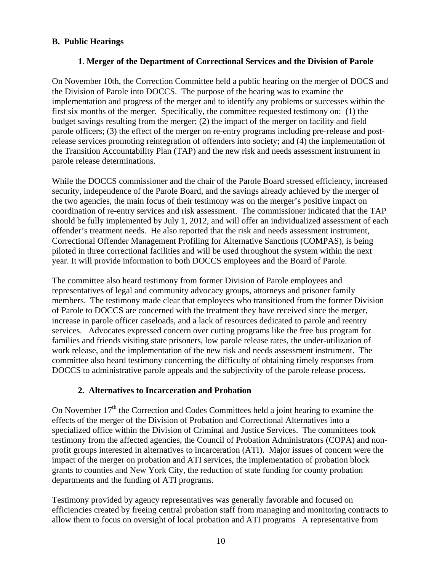## **B. Public Hearings**

#### **1**. **Merger of the Department of Correctional Services and the Division of Parole**

On November 10th, the Correction Committee held a public hearing on the merger of DOCS and the Division of Parole into DOCCS. The purpose of the hearing was to examine the implementation and progress of the merger and to identify any problems or successes within the first six months of the merger. Specifically, the committee requested testimony on: (1) the budget savings resulting from the merger; (2) the impact of the merger on facility and field parole officers; (3) the effect of the merger on re-entry programs including pre-release and postrelease services promoting reintegration of offenders into society; and (4) the implementation of the Transition Accountability Plan (TAP) and the new risk and needs assessment instrument in parole release determinations.

While the DOCCS commissioner and the chair of the Parole Board stressed efficiency, increased security, independence of the Parole Board, and the savings already achieved by the merger of the two agencies, the main focus of their testimony was on the merger's positive impact on coordination of re-entry services and risk assessment. The commissioner indicated that the TAP should be fully implemented by July 1, 2012, and will offer an individualized assessment of each offender's treatment needs. He also reported that the risk and needs assessment instrument, Correctional Offender Management Profiling for Alternative Sanctions (COMPAS), is being piloted in three correctional facilities and will be used throughout the system within the next year. It will provide information to both DOCCS employees and the Board of Parole.

The committee also heard testimony from former Division of Parole employees and representatives of legal and community advocacy groups, attorneys and prisoner family members. The testimony made clear that employees who transitioned from the former Division of Parole to DOCCS are concerned with the treatment they have received since the merger, increase in parole officer caseloads, and a lack of resources dedicated to parole and reentry services. Advocates expressed concern over cutting programs like the free bus program for families and friends visiting state prisoners, low parole release rates, the under-utilization of work release, and the implementation of the new risk and needs assessment instrument. The committee also heard testimony concerning the difficulty of obtaining timely responses from DOCCS to administrative parole appeals and the subjectivity of the parole release process.

#### **2. Alternatives to Incarceration and Probation**

On November 17<sup>th</sup> the Correction and Codes Committees held a joint hearing to examine the effects of the merger of the Division of Probation and Correctional Alternatives into a specialized office within the Division of Criminal and Justice Services. The committees took testimony from the affected agencies, the Council of Probation Administrators (COPA) and nonprofit groups interested in alternatives to incarceration (ATI). Major issues of concern were the impact of the merger on probation and ATI services, the implementation of probation block grants to counties and New York City, the reduction of state funding for county probation departments and the funding of ATI programs.

Testimony provided by agency representatives was generally favorable and focused on efficiencies created by freeing central probation staff from managing and monitoring contracts to allow them to focus on oversight of local probation and ATI programs A representative from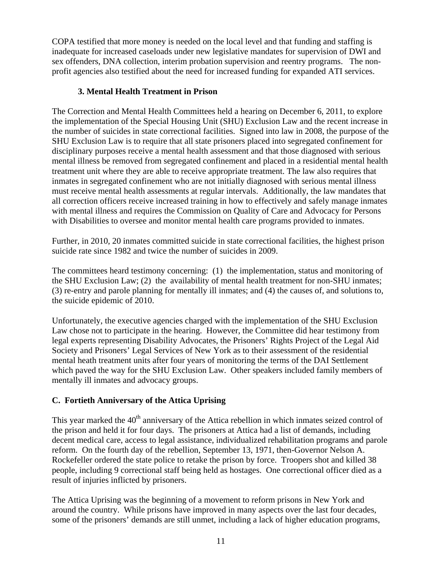COPA testified that more money is needed on the local level and that funding and staffing is inadequate for increased caseloads under new legislative mandates for supervision of DWI and sex offenders, DNA collection, interim probation supervision and reentry programs. The nonprofit agencies also testified about the need for increased funding for expanded ATI services.

## **3. Mental Health Treatment in Prison**

The Correction and Mental Health Committees held a hearing on December 6, 2011, to explore the implementation of the Special Housing Unit (SHU) Exclusion Law and the recent increase in the number of suicides in state correctional facilities. Signed into law in 2008, the purpose of the SHU Exclusion Law is to require that all state prisoners placed into segregated confinement for disciplinary purposes receive a mental health assessment and that those diagnosed with serious mental illness be removed from segregated confinement and placed in a residential mental health treatment unit where they are able to receive appropriate treatment. The law also requires that inmates in segregated confinement who are not initially diagnosed with serious mental illness must receive mental health assessments at regular intervals. Additionally, the law mandates that all correction officers receive increased training in how to effectively and safely manage inmates with mental illness and requires the Commission on Quality of Care and Advocacy for Persons with Disabilities to oversee and monitor mental health care programs provided to inmates.

Further, in 2010, 20 inmates committed suicide in state correctional facilities, the highest prison suicide rate since 1982 and twice the number of suicides in 2009.

The committees heard testimony concerning: (1) the implementation, status and monitoring of the SHU Exclusion Law; (2) the availability of mental health treatment for non-SHU inmates; (3) re-entry and parole planning for mentally ill inmates; and (4) the causes of, and solutions to, the suicide epidemic of 2010.

Unfortunately, the executive agencies charged with the implementation of the SHU Exclusion Law chose not to participate in the hearing. However, the Committee did hear testimony from legal experts representing Disability Advocates, the Prisoners' Rights Project of the Legal Aid Society and Prisoners' Legal Services of New York as to their assessment of the residential mental heath treatment units after four years of monitoring the terms of the DAI Settlement which paved the way for the SHU Exclusion Law. Other speakers included family members of mentally ill inmates and advocacy groups.

# **C. Fortieth Anniversary of the Attica Uprising**

This year marked the  $40<sup>th</sup>$  anniversary of the Attica rebellion in which inmates seized control of the prison and held it for four days. The prisoners at Attica had a list of demands, including decent medical care, access to legal assistance, individualized rehabilitation programs and parole reform. On the fourth day of the rebellion, September 13, 1971, then-Governor Nelson A. Rockefeller ordered the state police to retake the prison by force. Troopers shot and killed 38 people, including 9 correctional staff being held as hostages. One correctional officer died as a result of injuries inflicted by prisoners.

The Attica Uprising was the beginning of a movement to reform prisons in New York and around the country. While prisons have improved in many aspects over the last four decades, some of the prisoners' demands are still unmet, including a lack of higher education programs,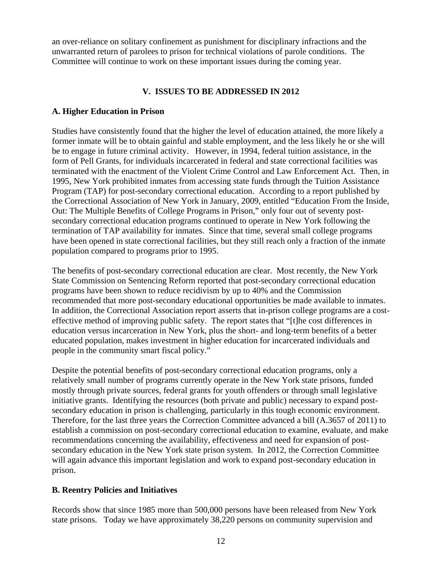an over-reliance on solitary confinement as punishment for disciplinary infractions and the unwarranted return of parolees to prison for technical violations of parole conditions. The Committee will continue to work on these important issues during the coming year.

#### **V. ISSUES TO BE ADDRESSED IN 2012**

#### **A. Higher Education in Prison**

Studies have consistently found that the higher the level of education attained, the more likely a former inmate will be to obtain gainful and stable employment, and the less likely he or she will be to engage in future criminal activity. However, in 1994, federal tuition assistance, in the form of Pell Grants, for individuals incarcerated in federal and state correctional facilities was terminated with the enactment of the Violent Crime Control and Law Enforcement Act. Then, in 1995, New York prohibited inmates from accessing state funds through the Tuition Assistance Program (TAP) for post-secondary correctional education. According to a report published by the Correctional Association of New York in January, 2009, entitled "Education From the Inside, Out: The Multiple Benefits of College Programs in Prison," only four out of seventy postsecondary correctional education programs continued to operate in New York following the termination of TAP availability for inmates. Since that time, several small college programs have been opened in state correctional facilities, but they still reach only a fraction of the inmate population compared to programs prior to 1995.

The benefits of post-secondary correctional education are clear. Most recently, the New York State Commission on Sentencing Reform reported that post-secondary correctional education programs have been shown to reduce recidivism by up to 40% and the Commission recommended that more post-secondary educational opportunities be made available to inmates. In addition, the Correctional Association report asserts that in-prison college programs are a costeffective method of improving public safety. The report states that "[t]he cost differences in education versus incarceration in New York, plus the short- and long-term benefits of a better educated population, makes investment in higher education for incarcerated individuals and people in the community smart fiscal policy."

Despite the potential benefits of post-secondary correctional education programs, only a relatively small number of programs currently operate in the New York state prisons, funded mostly through private sources, federal grants for youth offenders or through small legislative initiative grants. Identifying the resources (both private and public) necessary to expand postsecondary education in prison is challenging, particularly in this tough economic environment. Therefore, for the last three years the Correction Committee advanced a bill (A.3657 of 2011) to establish a commission on post-secondary correctional education to examine, evaluate, and make recommendations concerning the availability, effectiveness and need for expansion of postsecondary education in the New York state prison system. In 2012, the Correction Committee will again advance this important legislation and work to expand post-secondary education in prison.

#### **B. Reentry Policies and Initiatives**

Records show that since 1985 more than 500,000 persons have been released from New York state prisons. Today we have approximately 38,220 persons on community supervision and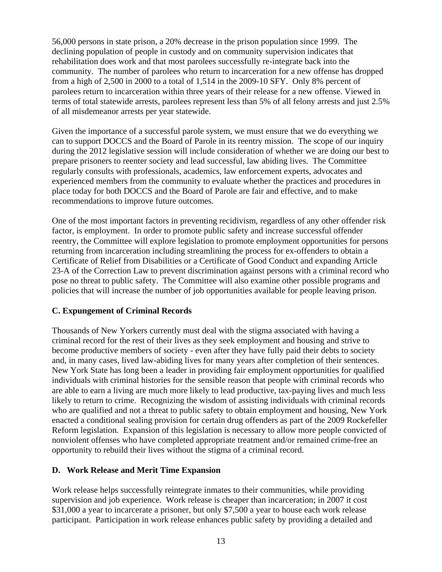56,000 persons in state prison, a 20% decrease in the prison population since 1999. The declining population of people in custody and on community supervision indicates that rehabilitation does work and that most parolees successfully re-integrate back into the community. The number of parolees who return to incarceration for a new offense has dropped from a high of 2,500 in 2000 to a total of 1,514 in the 2009-10 SFY. Only 8% percent of parolees return to incarceration within three years of their release for a new offense. Viewed in terms of total statewide arrests, parolees represent less than 5% of all felony arrests and just 2.5% of all misdemeanor arrests per year statewide.

Given the importance of a successful parole system, we must ensure that we do everything we can to support DOCCS and the Board of Parole in its reentry mission. The scope of our inquiry during the 2012 legislative session will include consideration of whether we are doing our best to prepare prisoners to reenter society and lead successful, law abiding lives. The Committee regularly consults with professionals, academics, law enforcement experts, advocates and experienced members from the community to evaluate whether the practices and procedures in place today for both DOCCS and the Board of Parole are fair and effective, and to make recommendations to improve future outcomes.

One of the most important factors in preventing recidivism, regardless of any other offender risk factor, is employment. In order to promote public safety and increase successful offender reentry, the Committee will explore legislation to promote employment opportunities for persons returning from incarceration including streamlining the process for ex-offenders to obtain a Certificate of Relief from Disabilities or a Certificate of Good Conduct and expanding Article 23-A of the Correction Law to prevent discrimination against persons with a criminal record who pose no threat to public safety. The Committee will also examine other possible programs and policies that will increase the number of job opportunities available for people leaving prison.

#### **C. Expungement of Criminal Records**

Thousands of New Yorkers currently must deal with the stigma associated with having a criminal record for the rest of their lives as they seek employment and housing and strive to become productive members of society - even after they have fully paid their debts to society and, in many cases, lived law-abiding lives for many years after completion of their sentences. New York State has long been a leader in providing fair employment opportunities for qualified individuals with criminal histories for the sensible reason that people with criminal records who are able to earn a living are much more likely to lead productive, tax-paying lives and much less likely to return to crime. Recognizing the wisdom of assisting individuals with criminal records who are qualified and not a threat to public safety to obtain employment and housing, New York enacted a conditional sealing provision for certain drug offenders as part of the 2009 Rockefeller Reform legislation. Expansion of this legislation is necessary to allow more people convicted of nonviolent offenses who have completed appropriate treatment and/or remained crime-free an opportunity to rebuild their lives without the stigma of a criminal record.

#### **D. Work Release and Merit Time Expansion**

Work release helps successfully reintegrate inmates to their communities, while providing supervision and job experience. Work release is cheaper than incarceration; in 2007 it cost \$31,000 a year to incarcerate a prisoner, but only \$7,500 a year to house each work release participant. Participation in work release enhances public safety by providing a detailed and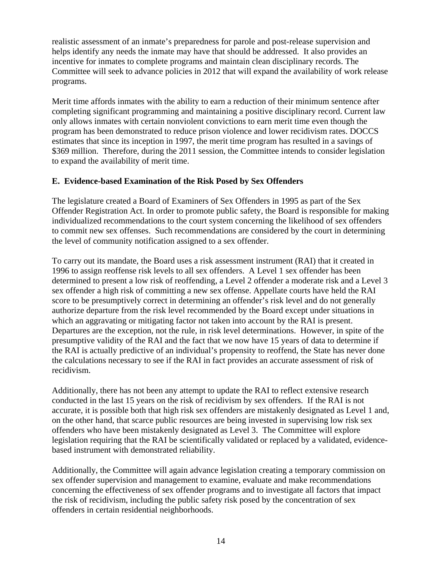realistic assessment of an inmate's preparedness for parole and post-release supervision and helps identify any needs the inmate may have that should be addressed. It also provides an incentive for inmates to complete programs and maintain clean disciplinary records. The Committee will seek to advance policies in 2012 that will expand the availability of work release programs.

Merit time affords inmates with the ability to earn a reduction of their minimum sentence after completing significant programming and maintaining a positive disciplinary record. Current law only allows inmates with certain nonviolent convictions to earn merit time even though the program has been demonstrated to reduce prison violence and lower recidivism rates. DOCCS estimates that since its inception in 1997, the merit time program has resulted in a savings of \$369 million. Therefore, during the 2011 session, the Committee intends to consider legislation to expand the availability of merit time.

#### **E. Evidence-based Examination of the Risk Posed by Sex Offenders**

The legislature created a Board of Examiners of Sex Offenders in 1995 as part of the Sex Offender Registration Act. In order to promote public safety, the Board is responsible for making individualized recommendations to the court system concerning the likelihood of sex offenders to commit new sex offenses. Such recommendations are considered by the court in determining the level of community notification assigned to a sex offender.

To carry out its mandate, the Board uses a risk assessment instrument (RAI) that it created in 1996 to assign reoffense risk levels to all sex offenders. A Level 1 sex offender has been determined to present a low risk of reoffending, a Level 2 offender a moderate risk and a Level 3 sex offender a high risk of committing a new sex offense. Appellate courts have held the RAI score to be presumptively correct in determining an offender's risk level and do not generally authorize departure from the risk level recommended by the Board except under situations in which an aggravating or mitigating factor not taken into account by the RAI is present. Departures are the exception, not the rule, in risk level determinations. However, in spite of the presumptive validity of the RAI and the fact that we now have 15 years of data to determine if the RAI is actually predictive of an individual's propensity to reoffend, the State has never done the calculations necessary to see if the RAI in fact provides an accurate assessment of risk of recidivism.

Additionally, there has not been any attempt to update the RAI to reflect extensive research conducted in the last 15 years on the risk of recidivism by sex offenders. If the RAI is not accurate, it is possible both that high risk sex offenders are mistakenly designated as Level 1 and, on the other hand, that scarce public resources are being invested in supervising low risk sex offenders who have been mistakenly designated as Level 3. The Committee will explore legislation requiring that the RAI be scientifically validated or replaced by a validated, evidencebased instrument with demonstrated reliability.

Additionally, the Committee will again advance legislation creating a temporary commission on sex offender supervision and management to examine, evaluate and make recommendations concerning the effectiveness of sex offender programs and to investigate all factors that impact the risk of recidivism, including the public safety risk posed by the concentration of sex offenders in certain residential neighborhoods.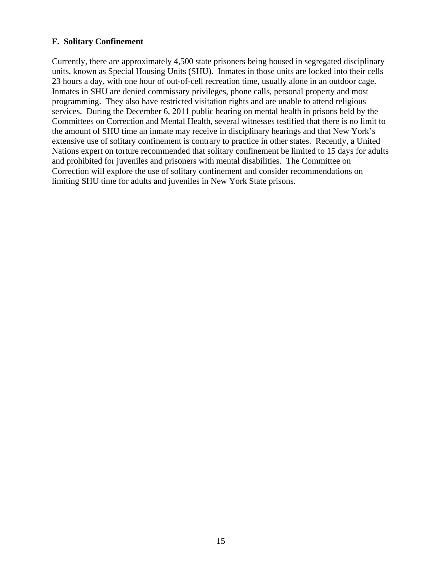#### **F. Solitary Confinement**

Currently, there are approximately 4,500 state prisoners being housed in segregated disciplinary units, known as Special Housing Units (SHU). Inmates in those units are locked into their cells 23 hours a day, with one hour of out-of-cell recreation time, usually alone in an outdoor cage. Inmates in SHU are denied commissary privileges, phone calls, personal property and most programming. They also have restricted visitation rights and are unable to attend religious services. During the December 6, 2011 public hearing on mental health in prisons held by the Committees on Correction and Mental Health, several witnesses testified that there is no limit to the amount of SHU time an inmate may receive in disciplinary hearings and that New York's extensive use of solitary confinement is contrary to practice in other states. Recently, a United Nations expert on torture recommended that solitary confinement be limited to 15 days for adults and prohibited for juveniles and prisoners with mental disabilities. The Committee on Correction will explore the use of solitary confinement and consider recommendations on limiting SHU time for adults and juveniles in New York State prisons.